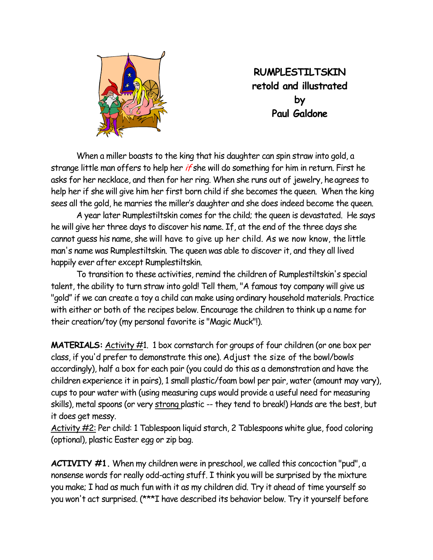

**RUMPLESTILTSKIN retold and illustrated by Paul Galdone** 

 When a miller boasts to the king that his daughter can spin straw into gold, a strange little man offers to help her *if* she will do something for him in return. First he asks for her necklace, and then for her ring. When she runs out of jewelry, heagrees to help her if she will give him her first born child if she becomes the queen. When the king sees all the gold, he marries the miller's daughter and she does indeed become the queen.

 A year later Rumplestiltskin comes for the child; the queen is devastated. He says he will give her three days to discover his name. If, at the end of the three days she cannot guess his name, she will have to give up her child. As we now know, the little man's name was Rumplestiltskin. The queen was able to discover it, and they all lived happily ever after except Rumplestiltskin.

 To transition to these activities, remind the children of Rumplestiltskin's special talent, the ability to turn straw into gold! Tell them, "A famous toy company will give us "gold" if we can create a toy a child can make using ordinary household materials. Practice with either or both of the recipes below. Encourage the children to think up a name for their creation/toy (my personal favorite is "Magic Muck"!).

**MATERIALS:** Activity #1. 1 box cornstarch for groups of four children (or one box per class, if you'd prefer to demonstrate this one). Adjust the size of the bowl/bowls accordingly), half a box for each pair (you could do this as a demonstration and have the children experience it in pairs), 1 small plastic/foam bowl per pair, water (amount may vary), cups to pour water with (using measuring cups would provide a useful need for measuring skills), metal spoons (or very strong plastic -- they tend to break!) Hands are the best, but it does get messy.

Activity #2: Per child: 1 Tablespoon liquid starch, 2 Tablespoons white glue, food coloring (optional), plastic Easter egg or zip bag.

**ACTIVITY #1.** When my children were in preschool, we called this concoction "pud", a nonsense words for really odd-acting stuff. I think you will be surprised by the mixture you make; I had as much fun with it as my children did. Try it ahead of time yourself so you won't act surprised. (\*\*\*I have described its behavior below. Try it yourself before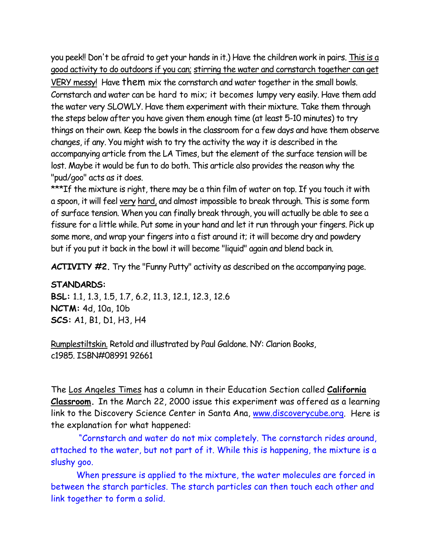you peek!! Don't be afraid to get your hands in it.) Have the children work in pairs. This is a good activity to do outdoors if you can; stirring the water and cornstarch together can get

VERY messy! Have them mix the cornstarch and water together in the small bowls. Cornstarch and water can be hard to mix; it becomes lumpy very easily. Have them add the water very SLOWLY. Have them experiment with their mixture. Take them through the steps below after you have given them enough time (at least 5-10 minutes) to try things on their own. Keep the bowls in the classroom for a few days and have them observe changes, if any. You might wish to try the activity the way it is described in the accompanying article from the LA Times, but the element of the surface tension will be lost. Maybe it would be fun to do both. This article also provides the reason why the "pud/goo" acts as it does.

\*\*\*If the mixture is right, there may be a thin film of water on top. If you touch it with a spoon, it will feel very hard, and almost impossible to break through. This is some form of surface tension. When you can finally break through, you will actually be able to see a fissure for a little while. Put some in your hand and let it run through your fingers. Pick up some more, and wrap your fingers into a fist around it; it will become dry and powdery but if you put it back in the bowl it will become "liquid" again and blend back in.

**ACTIVITY #2.** Try the "Funny Putty" activity as described on the accompanying page.

## **STANDARDS:**

**BSL:** 1.1, 1.3, 1.5, 1.7, 6.2, 11.3, 12.1, 12.3, 12.6 **NCTM:** 4d, 10a, 10b **SCS:** A1, B1, D1, H3, H4

Rumplestiltskin. Retold and illustrated by Paul Galdone. NY: Clarion Books, c1985. ISBN#08991 92661

The Los Angeles Times has a column in their Education Section called **California Classroom.** In the March 22, 2000 issue this experiment was offered as a learning link to the Discovery Science Center in Santa Ana, www.discoverycube.org. Here is the explanation for what happened:

 "Cornstarch and water do not mix completely. The cornstarch rides around, attached to the water, but not part of it. While this is happening, the mixture is a slushy goo.

 When pressure is applied to the mixture, the water molecules are forced in between the starch particles. The starch particles can then touch each other and link together to form a solid.